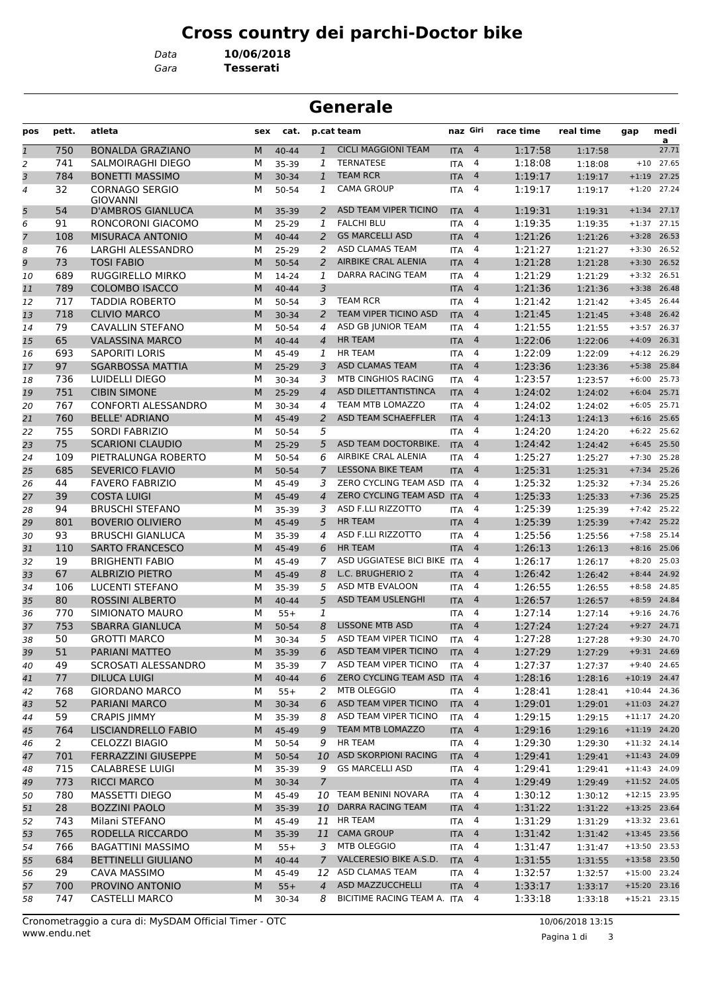## **Cross country dei parchi-Doctor bike**

*Data* **10/06/2018**

*Gara* **Tesserati**

| <b>Generale</b> |            |                                                   |        |                |                |                                                |                          |                     |                    |                    |                                  |                |
|-----------------|------------|---------------------------------------------------|--------|----------------|----------------|------------------------------------------------|--------------------------|---------------------|--------------------|--------------------|----------------------------------|----------------|
| pos             | pett.      | atleta                                            | sex    | cat.           |                | p.cat team                                     | naz Giri                 |                     | race time          | real time          | gap                              | medi<br>a      |
| $\overline{1}$  | 750        | <b>BONALDA GRAZIANO</b>                           | M      | $40 - 44$      | $\mathbf{1}$   | <b>CICLI MAGGIONI TEAM</b>                     | <b>ITA</b>               | $\overline{4}$      | 1:17:58            | 1:17:58            |                                  | 27.71          |
| 2               | 741        | SALMOIRAGHI DIEGO                                 | М      | 35-39          | 1              | <b>TERNATESE</b>                               | <b>ITA</b>               | 4                   | 1:18:08            | 1:18:08            | $+10$                            | 27.65          |
| 3               | 784        | <b>BONETTI MASSIMO</b>                            | M      | 30-34          | 1              | <b>TEAM RCR</b>                                | <b>ITA</b>               | $\overline{4}$      | 1:19:17            | 1:19:17            | $+1:19$                          | 27.25          |
| 4               | 32         | <b>CORNAGO SERGIO</b><br><b>GIOVANNI</b>          | М      | 50-54          | 1              | <b>CAMA GROUP</b>                              | <b>ITA</b>               | 4                   | 1:19:17            | 1:19:17            | $+1:20$                          | 27.24          |
| 5               | 54         | <b>D'AMBROS GIANLUCA</b>                          | M      | 35-39          | 2              | ASD TEAM VIPER TICINO                          | <b>ITA</b>               | 4                   | 1:19:31            | 1:19:31            | $+1:34$                          | 27.17          |
| 6               | 91         | RONCORONI GIACOMO                                 | м      | 25-29          | 1              | <b>FALCHI BLU</b>                              | <b>ITA</b>               | 4                   | 1:19:35            | 1:19:35            | $+1:37$                          | 27.15          |
| $\overline{7}$  | 108        | <b>MISURACA ANTONIO</b>                           | M      | $40 - 44$      | 2              | <b>GS MARCELLI ASD</b>                         | <b>ITA</b>               | $\overline{4}$      | 1:21:26            | 1:21:26            | $+3:28$                          | 26.53          |
| 8               | 76         | LARGHI ALESSANDRO                                 | М      | 25-29          | 2              | ASD CLAMAS TEAM                                | <b>ITA</b>               | 4                   | 1:21:27            | 1:21:27            | $+3:30$                          | 26.52          |
| 9               | 73         | <b>TOSI FABIO</b>                                 | M      | 50-54          | 2              | AIRBIKE CRAL ALENIA                            | <b>ITA</b>               | $\overline{4}$      | 1:21:28            | 1:21:28            | $+3:30$                          | 26.52          |
| 10              | 689        | <b>RUGGIRELLO MIRKO</b>                           | м      | 14-24          | 1              | DARRA RACING TEAM                              | <b>ITA</b>               | 4                   | 1:21:29            | 1:21:29            | $+3:32$                          | 26.51          |
| 11              | 789        | <b>COLOMBO ISACCO</b>                             | M      | $40 - 44$      | 3              |                                                | <b>ITA</b>               | $\overline{4}$      | 1:21:36            | 1:21:36            | $+3:38$                          | 26.48          |
| 12              | 717        | <b>TADDIA ROBERTO</b>                             | м      | 50-54          | 3              | <b>TEAM RCR</b>                                | <b>ITA</b>               | 4                   | 1:21:42            | 1:21:42            | $+3:45$                          | 26.44          |
| 13              | 718        | <b>CLIVIO MARCO</b>                               | M      | 30-34          | 2              | <b>TEAM VIPER TICINO ASD</b>                   | <b>ITA</b>               | $\overline{a}$      | 1:21:45            | 1:21:45            | $+3:48$                          | 26.42          |
| 14              | 79         | CAVALLIN STEFANO                                  | М      | 50-54          | 4              | ASD GB JUNIOR TEAM                             | <b>ITA</b>               | 4                   | 1:21:55            | 1:21:55            | $+3:57$                          | 26.37          |
| 15              | 65         | <b>VALASSINA MARCO</b>                            | M      | $40 - 44$      | 4              | <b>HR TEAM</b>                                 | <b>ITA</b>               | $\overline{4}$      | 1:22:06            | 1:22:06            | $+4:09$                          | 26.31          |
| 16              | 693        | <b>SAPORITI LORIS</b>                             | М      | 45-49          | 1              | <b>HR TEAM</b>                                 | <b>ITA</b>               | 4                   | 1:22:09            | 1:22:09            | $+4:12$                          | 26.29          |
| 17              | 97         | <b>SGARBOSSA MATTIA</b>                           | M      | $25-29$        | 3              | ASD CLAMAS TEAM                                | <b>ITA</b>               | $\overline{4}$      | 1:23:36            | 1:23:36            | $+5:38$                          | 25.84          |
| 18              | 736        | LUIDELLI DIEGO                                    | м      | 30-34          | 3              | MTB CINGHIOS RACING<br>ASD DILETTANTISTINCA    | <b>ITA</b>               | 4<br>$\overline{4}$ | 1:23:57            | 1:23:57            | $+6:00$                          | 25.73<br>25.71 |
| 19              | 751<br>767 | <b>CIBIN SIMONE</b><br><b>CONFORTI ALESSANDRO</b> | M<br>М | 25-29<br>30-34 | 4<br>4         | TEAM MTB LOMAZZO                               | <b>ITA</b><br><b>ITA</b> | 4                   | 1:24:02<br>1:24:02 | 1:24:02<br>1:24:02 | $+6:04$<br>$+6:05$               | 25.71          |
| 20              | 760        | <b>BELLE' ADRIANO</b>                             | M      | 45-49          | 2              | <b>ASD TEAM SCHAEFFLER</b>                     | <b>ITA</b>               | $\overline{4}$      | 1:24:13            | 1:24:13            | $+6:16$                          | 25.65          |
| 21<br>22        | 755        | <b>SORDI FABRIZIO</b>                             | М      | 50-54          | 5              |                                                | <b>ITA</b>               | 4                   | 1:24:20            | 1:24:20            | $+6:22$                          | 25.62          |
| 23              | 75         | <b>SCARIONI CLAUDIO</b>                           | M      | $25-29$        | 5              | ASD TEAM DOCTORBIKE.                           | <b>ITA</b>               | $\overline{4}$      | 1:24:42            | 1:24:42            | $+6:45$                          | 25.50          |
| 24              | 109        | PIETRALUNGA ROBERTO                               | м      | 50-54          | 6              | AIRBIKE CRAL ALENIA                            | <b>ITA</b>               | 4                   | 1:25:27            | 1:25:27            | $+7:30$                          | 25.28          |
| 25              | 685        | <b>SEVERICO FLAVIO</b>                            | M      | 50-54          | $\overline{7}$ | <b>LESSONA BIKE TEAM</b>                       | <b>ITA</b>               | $\overline{a}$      | 1:25:31            | 1:25:31            | $+7:34$                          | 25.26          |
| 26              | 44         | <b>FAVERO FABRIZIO</b>                            | М      | 45-49          | 3              | ZERO CYCLING TEAM ASD                          | <b>ITA</b>               | 4                   | 1:25:32            | 1:25:32            | $+7:34$                          | 25.26          |
| 27              | 39         | <b>COSTA LUIGI</b>                                | M      | 45-49          | 4              | ZERO CYCLING TEAM ASD ITA                      |                          | $\overline{4}$      | 1:25:33            | 1:25:33            | $+7:36$                          | 25.25          |
| 28              | 94         | <b>BRUSCHI STEFANO</b>                            | М      | 35-39          | 3              | ASD F.LLI RIZZOTTO                             | <b>ITA</b>               | 4                   | 1:25:39            | 1:25:39            | $+7:42$                          | 25.22          |
| 29              | 801        | <b>BOVERIO OLIVIERO</b>                           | M      | 45-49          | 5              | <b>HR TEAM</b>                                 | <b>ITA</b>               | $\overline{4}$      | 1:25:39            | 1:25:39            | $+7:42$                          | 25.22          |
| 30              | 93         | <b>BRUSCHI GIANLUCA</b>                           | м      | 35-39          | 4              | ASD F.LLI RIZZOTTO                             | <b>ITA</b>               | 4                   | 1:25:56            | 1:25:56            | $+7:58$                          | 25.14          |
| 31              | 110        | <b>SARTO FRANCESCO</b>                            | M      | 45-49          | 6              | <b>HR TEAM</b>                                 | <b>ITA</b>               | $\overline{4}$      | 1:26:13            | 1:26:13            | $+8:16$                          | 25.06          |
| 32              | 19         | <b>BRIGHENTI FABIO</b>                            | М      | 45-49          | 7              | ASD UGGIATESE BICI BIKE ITA                    |                          | 4                   | 1:26:17            | 1:26:17            | $+8:20$                          | 25.03          |
| 33              | 67         | <b>ALBRIZIO PIETRO</b>                            | M      | 45-49          | 8              | L.C. BRUGHERIO 2                               | <b>ITA</b>               | $\overline{a}$      | 1:26:42            | 1:26:42            | $+8:44$                          | 24.92          |
| 34              | 106        | LUCENTI STEFANO                                   | м      | 35-39          | 5              | <b>ASD MTB EVALOON</b>                         | <b>ITA</b>               | 4                   | 1:26:55            | 1:26:55            | $+8:58$                          | 24.85          |
| 35              | 80         | <b>ROSSINI ALBERTO</b>                            | M      | $40 - 44$      | 5              | ASD TEAM USLENGHI                              | <b>ITA</b>               | $\overline{4}$      | 1:26:57            | 1:26:57            | $+8:59$                          | 24.84          |
| 36              | 770        | SIMIONATO MAURO                                   | М      | $55+$          | 1              |                                                | <b>ITA</b>               | 4                   | 1:27:14            | 1:27:14            |                                  | $+9:16$ 24.76  |
| 37              | 753        | SBARRA GIANLUCA                                   | M      | $50 - 54$      |                | 8 LISSONE MTB ASD                              | <b>ITA</b>               | $\overline{4}$      | 1:27:24            | 1:27:24            |                                  | $+9:27$ 24.71  |
| 38              | 50         | <b>GROTTI MARCO</b>                               | м      | 30-34          | 5              | ASD TEAM VIPER TICINO                          | <b>ITA</b>               | 4                   | 1:27:28            | 1:27:28            |                                  | +9:30 24.70    |
| 39              | 51         | PARIANI MATTEO                                    | M      | 35-39          | 6              | ASD TEAM VIPER TICINO                          | <b>ITA</b>               | $\overline{4}$      | 1:27:29            | 1:27:29            |                                  | +9:31 24.69    |
| 40              | 49         | SCROSATI ALESSANDRO                               | м      | 35-39          | 7              | ASD TEAM VIPER TICINO                          | <b>ITA</b>               | 4                   | 1:27:37            | 1:27:37            |                                  | $+9:40$ 24.65  |
| 41              | 77         | <b>DILUCA LUIGI</b>                               | M      | $40 - 44$      | 6              | ZERO CYCLING TEAM ASD ITA                      |                          | $\overline{4}$      | 1:28:16            | 1:28:16            | $+10:19$ 24.47                   |                |
| 42              | 768        | <b>GIORDANO MARCO</b>                             | м      | $55+$          | 2              | MTB OLEGGIO                                    | ITA                      | 4                   | 1:28:41            | 1:28:41            | $+10:44$ 24.36                   |                |
| 43              | 52         | PARIANI MARCO                                     | M      | 30-34          | 6              | ASD TEAM VIPER TICINO                          | <b>ITA</b>               | $\overline{4}$      | 1:29:01            | 1:29:01            | $+11:03$ 24.27                   |                |
| 44              | 59         | <b>CRAPIS JIMMY</b>                               | М      | 35-39          | 8              | ASD TEAM VIPER TICINO                          | <b>ITA</b>               | 4                   | 1:29:15            | 1:29:15            | $+11:17$ 24.20                   |                |
| 45              | 764        | LISCIANDRELLO FABIO                               | M      | 45-49          | 9              | TEAM MTB LOMAZZO                               | <b>ITA</b>               | $\overline{4}$      | 1:29:16            | 1:29:16            | $+11:19$ 24.20                   |                |
| 46              | 2          | CELOZZI BIAGIO                                    | М      | 50-54          | 9              | HR TEAM                                        | <b>ITA</b>               | 4                   | 1:29:30            | 1:29:30            | $+11:32$ 24.14                   |                |
| 47              | 701        | <b>FERRAZZINI GIUSEPPE</b>                        | M      | 50-54          | 10             | ASD SKORPIONI RACING<br><b>GS MARCELLI ASD</b> | <b>ITA</b>               | $\overline{4}$      | 1:29:41            | 1:29:41            | $+11:43$ 24.09<br>$+11:43$ 24.09 |                |
| 48              | 715<br>773 | <b>CALABRESE LUIGI</b><br><b>RICCI MARCO</b>      | м<br>M | 35-39          | 9<br>7         |                                                | ITA                      | 4<br>$\overline{4}$ | 1:29:41<br>1:29:49 | 1:29:41            | $+11:52$ 24.05                   |                |
| 49              | 780        | <b>MASSETTI DIEGO</b>                             | М      | 30-34<br>45-49 |                | 10 TEAM BENINI NOVARA                          | <b>ITA</b>               | 4                   | 1:30:12            | 1:29:49            | $+12:15$ 23.95                   |                |
| 50<br>51        | 28         | <b>BOZZINI PAOLO</b>                              | M      | 35-39          |                | 10 DARRA RACING TEAM                           | ITA<br><b>ITA</b>        | $\overline{4}$      | 1:31:22            | 1:30:12<br>1:31:22 | +13:25 23.64                     |                |
| 52              | 743        | Milani STEFANO                                    | м      | 45-49          |                | 11 HR TEAM                                     | ITA                      | 4                   | 1:31:29            | 1:31:29            | $+13:32$ 23.61                   |                |
| 53              | 765        | RODELLA RICCARDO                                  | M      | 35-39          | 11             | <b>CAMA GROUP</b>                              | <b>ITA</b>               | $\overline{4}$      | 1:31:42            | 1:31:42            | +13:45 23.56                     |                |
| 54              | 766        | <b>BAGATTINI MASSIMO</b>                          | м      | $55+$          | 3              | MTB OLEGGIO                                    | ITA                      | 4                   | 1:31:47            | 1:31:47            | $+13:50$ 23.53                   |                |
| 55              | 684        | <b>BETTINELLI GIULIANO</b>                        | M      | $40 - 44$      | $7^{\circ}$    | VALCERESIO BIKE A.S.D.                         | <b>ITA</b>               | $\overline{4}$      | 1:31:55            | 1:31:55            | +13:58 23.50                     |                |
| 56              | 29         | CAVA MASSIMO                                      | М      | 45-49          | 12             | ASD CLAMAS TEAM                                | <b>ITA</b>               | 4                   | 1:32:57            | 1:32:57            | $+15:00$ 23.24                   |                |
| 57              | 700        | PROVINO ANTONIO                                   | M      | $55+$          | $\overline{4}$ | ASD MAZZUCCHELLI                               | <b>ITA</b>               | $\overline{4}$      | 1:33:17            | 1:33:17            | $+15:20$ 23.16                   |                |
| 58              | 747        | CASTELLI MARCO                                    | м      | 30-34          | 8              | BICITIME RACING TEAM A. ITA                    |                          | $\overline{4}$      | 1:33:18            | 1:33:18            | $+15:21$ 23.15                   |                |
|                 |            |                                                   |        |                |                |                                                |                          |                     |                    |                    |                                  |                |

www.endu.net Cronometraggio a cura di: MySDAM Official Timer - OTC 10/06/2018 13:15

Pagina 1 di 3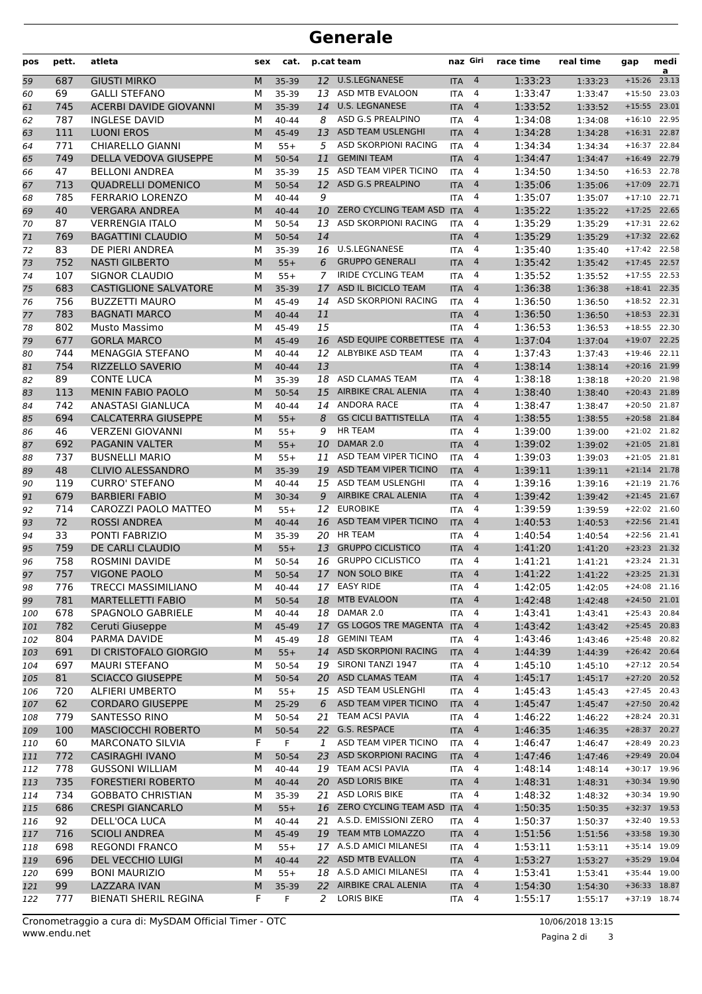## **Generale**

| pos | pett. | atleta                        | sex | cat.      |    | p.cat team                  | naz Giri   |                | race time | real time | gap            | medi<br>a |
|-----|-------|-------------------------------|-----|-----------|----|-----------------------------|------------|----------------|-----------|-----------|----------------|-----------|
| 59  | 687   | <b>GIUSTI MIRKO</b>           | M   | 35-39     | 12 | <b>U.S.LEGNANESE</b>        | <b>ITA</b> | $\overline{4}$ | 1:33:23   | 1:33:23   | $+15:26$       | 23.13     |
| 60  | 69    | <b>GALLI STEFANO</b>          | М   | 35-39     |    | 13 ASD MTB EVALOON          | <b>ITA</b> | 4              | 1:33:47   | 1:33:47   | $+15:50$       | 23.03     |
| 61  | 745   | <b>ACERBI DAVIDE GIOVANNI</b> | M   | 35-39     | 14 | <b>U.S. LEGNANESE</b>       | <b>ITA</b> | $\overline{4}$ | 1:33:52   | 1:33:52   | $+15:55$       | 23.01     |
| 62  | 787   | <b>INGLESE DAVID</b>          | м   | 40-44     | 8  | ASD G.S PREALPINO           | <b>ITA</b> | 4              | 1:34:08   | 1:34:08   | $+16:10$       | 22.95     |
| 63  | 111   | <b>LUONI EROS</b>             | M   | 45-49     | 13 | <b>ASD TEAM USLENGHI</b>    | <b>ITA</b> | $\overline{4}$ | 1:34:28   | 1:34:28   | $+16:31$       | 22.87     |
| 64  | 771   | CHIARELLO GIANNI              | М   | $55+$     | 5  | ASD SKORPIONI RACING        | <b>ITA</b> | 4              | 1:34:34   | 1:34:34   | $+16:37$       | 22.84     |
| 65  | 749   | DELLA VEDOVA GIUSEPPE         | M   | 50-54     | 11 | <b>GEMINI TEAM</b>          | <b>ITA</b> | 4              | 1:34:47   | 1:34:47   | $+16:49$       | 22.79     |
| 66  | 47    | <b>BELLONI ANDREA</b>         | М   | 35-39     | 15 | ASD TEAM VIPER TICINO       | <b>ITA</b> | 4              | 1:34:50   | 1:34:50   | $+16:53$       | 22.78     |
| 67  | 713   | <b>QUADRELLI DOMENICO</b>     | M   | 50-54     | 12 | ASD G.S PREALPINO           | <b>ITA</b> | 4              | 1:35:06   | 1:35:06   | $+17:09$       | 22.71     |
| 68  | 785   | <b>FERRARIO LORENZO</b>       | м   | 40-44     | 9  |                             | <b>ITA</b> | 4              | 1:35:07   | 1:35:07   | $+17:10$       | 22.71     |
| 69  | 40    | <b>VERGARA ANDREA</b>         | M   | 40-44     | 10 | ZERO CYCLING TEAM ASD ITA   |            | 4              | 1:35:22   | 1:35:22   | $+17:25$       | 22.65     |
| 70  | 87    | <b>VERRENGIA ITALO</b>        | М   | 50-54     | 13 | ASD SKORPIONI RACING        | <b>ITA</b> | 4              | 1:35:29   | 1:35:29   | $+17:31$       | 22.62     |
| 71  | 769   | <b>BAGATTINI CLAUDIO</b>      | M   | 50-54     | 14 |                             | <b>ITA</b> | 4              | 1:35:29   | 1:35:29   | $+17:32$       | 22.62     |
| 72  | 83    | DE PIERI ANDREA               | М   | 35-39     | 16 | U.S.LEGNANESE               | <b>ITA</b> | 4              | 1:35:40   | 1:35:40   | $+17:42$       | 22.58     |
| 73  | 752   | <b>NASTI GILBERTO</b>         | M   | $55+$     | 6  | <b>GRUPPO GENERALI</b>      | <b>ITA</b> | 4              | 1:35:42   | 1:35:42   | $+17:45$       | 22.57     |
| 74  | 107   | <b>SIGNOR CLAUDIO</b>         | М   | $55+$     | 7  | <b>IRIDE CYCLING TEAM</b>   | <b>ITA</b> | 4              | 1:35:52   | 1:35:52   | $+17:55$       | 22.53     |
| 75  | 683   | <b>CASTIGLIONE SALVATORE</b>  | M   | 35-39     | 17 | ASD IL BICICLO TEAM         | <b>ITA</b> | $\overline{4}$ | 1:36:38   | 1:36:38   | $+18:41$       | 22.35     |
| 76  | 756   | <b>BUZZETTI MAURO</b>         | М   | 45-49     | 14 | ASD SKORPIONI RACING        | <b>ITA</b> | 4              | 1:36:50   | 1:36:50   | $+18:52$       | 22.31     |
| 77  | 783   | <b>BAGNATI MARCO</b>          | M   | $40 - 44$ | 11 |                             | <b>ITA</b> | 4              | 1:36:50   | 1:36:50   | $+18:53$       | 22.31     |
| 78  | 802   | <b>Musto Massimo</b>          | М   | 45-49     | 15 |                             | <b>ITA</b> | 4              | 1:36:53   | 1:36:53   | $+18:55$       | 22.30     |
| 79  | 677   | <b>GORLA MARCO</b>            | M   | 45-49     | 16 | ASD EQUIPE CORBETTESE       | <b>ITA</b> | 4              | 1:37:04   | 1:37:04   | $+19:07$       | 22.25     |
| 80  | 744   | <b>MENAGGIA STEFANO</b>       | м   | 40-44     | 12 | ALBYBIKE ASD TEAM           | <b>ITA</b> | 4              | 1:37:43   | 1:37:43   | $+19:46$       | 22.11     |
| 81  | 754   | RIZZELLO SAVERIO              | M   | 40-44     | 13 |                             | <b>ITA</b> | $\overline{4}$ | 1:38:14   | 1:38:14   | $+20:16$       | 21.99     |
| 82  | 89    | <b>CONTE LUCA</b>             | М   | 35-39     | 18 | <b>ASD CLAMAS TEAM</b>      | <b>ITA</b> | 4              | 1:38:18   | 1:38:18   | $+20:20$       | 21.98     |
| 83  | 113   | <b>MENIN FABIO PAOLO</b>      | M   | 50-54     | 15 | AIRBIKE CRAL ALENIA         | <b>ITA</b> | 4              | 1:38:40   | 1:38:40   | $+20:43$       | 21.89     |
| 84  | 742   | <b>ANASTASI GIANLUCA</b>      | М   | 40-44     |    | 14 ANDORA RACE              | <b>ITA</b> | 4              | 1:38:47   | 1:38:47   | $+20:50$       | 21.87     |
| 85  | 694   | <b>CALCATERRA GIUSEPPE</b>    | M   | $55+$     | 8  | <b>GS CICLI BATTISTELLA</b> | <b>ITA</b> | 4              | 1:38:55   | 1:38:55   | $+20:58$       | 21.84     |
| 86  | 46    | <b>VERZENI GIOVANNI</b>       | м   | $55+$     | 9  | <b>HR TEAM</b>              | <b>ITA</b> | 4              | 1:39:00   | 1:39:00   | $+21:02$       | 21.82     |
| 87  | 692   | <b>PAGANIN VALTER</b>         | M   | $55+$     | 10 | DAMAR 2.0                   | <b>ITA</b> | $\overline{4}$ | 1:39:02   | 1:39:02   | $+21:05$       | 21.81     |
| 88  | 737   | <b>BUSNELLI MARIO</b>         | М   | $55+$     | 11 | ASD TEAM VIPER TICINO       | <b>ITA</b> | 4              | 1:39:03   | 1:39:03   | $+21:05$ 21.81 |           |
| 89  | 48    | <b>CLIVIO ALESSANDRO</b>      | M   | 35-39     | 19 | ASD TEAM VIPER TICINO       | <b>ITA</b> | 4              | 1:39:11   | 1:39:11   | $+21:14$       | 21.78     |
| 90  | 119   | <b>CURRO' STEFANO</b>         | М   | $40 - 44$ |    | 15 ASD TEAM USLENGHI        | <b>ITA</b> | 4              | 1:39:16   | 1:39:16   | $+21:19$       | 21.76     |
| 91  | 679   | <b>BARBIERI FABIO</b>         | M   | 30-34     | 9  | AIRBIKE CRAL ALENIA         | <b>ITA</b> | 4              | 1:39:42   | 1:39:42   | $+21:45$       | 21.67     |
| 92  | 714   | CAROZZI PAOLO MATTEO          | М   | $55+$     | 12 | <b>EUROBIKE</b>             | <b>ITA</b> | 4              | 1:39:59   | 1:39:59   | $+22:02$       | 21.60     |
| 93  | 72    | <b>ROSSI ANDREA</b>           | M   | $40 - 44$ | 16 | ASD TEAM VIPER TICINO       | <b>ITA</b> | $\overline{4}$ | 1:40:53   | 1:40:53   | $+22:56$       | 21.41     |
| 94  | 33    | PONTI FABRIZIO                | М   | 35-39     | 20 | <b>HR TEAM</b>              | <b>ITA</b> | 4              | 1:40:54   | 1:40:54   | $+22:56$       | 21.41     |
| 95  | 759   | DE CARLI CLAUDIO              | M   | $55+$     | 13 | <b>GRUPPO CICLISTICO</b>    | <b>ITA</b> | 4              | 1:41:20   | 1:41:20   | $+23:23$       | 21.32     |
| 96  | 758   | <b>ROSMINI DAVIDE</b>         | М   | 50-54     | 16 | <b>GRUPPO CICLISTICO</b>    | <b>ITA</b> | 4              | 1:41:21   | 1:41:21   | $+23:24$       | 21.31     |
| 97  | 757   | <b>VIGONE PAOLO</b>           | M   | 50-54     | 17 | NON SOLO BIKE               | <b>ITA</b> | 4              | 1:41:22   | 1:41:22   | $+23:25$ 21.31 |           |
| 98  | 776   | TRECCI MASSIMILIANO           | м   | 40-44     |    | 17 EASY RIDE                | <b>ITA</b> | 4              | 1:42:05   | 1:42:05   | +24:08 21.16   |           |
| 99  | 781   | MARTELLETTI FABIO             | M   | 50-54     | 18 | <b>MTB EVALOON</b>          | <b>ITA</b> | $\overline{4}$ | 1:42:48   | 1:42:48   | $+24:50$ 21.01 |           |
| 100 | 678   | <b>SPAGNOLO GABRIELE</b>      | М   | 40-44     | 18 | DAMAR 2.0                   | <b>ITA</b> | 4              | 1:43:41   | 1:43:41   | +25:43 20.84   |           |
| 101 | 782   | Ceruti Giuseppe               | M   | 45-49     | 17 | <b>GS LOGOS TRE MAGENTA</b> | <b>ITA</b> | $\overline{4}$ | 1:43:42   | 1:43:42   | $+25:45$       | 20.83     |
| 102 | 804   | PARMA DAVIDE                  | М   | 45-49     |    | 18 GEMINI TEAM              | <b>ITA</b> | 4              | 1:43:46   | 1:43:46   | +25:48 20.82   |           |
| 103 | 691   | DI CRISTOFALO GIORGIO         | M   | $55+$     | 14 | ASD SKORPIONI RACING        | <b>ITA</b> | $\overline{4}$ | 1:44:39   | 1:44:39   | $+26:42$       | 20.64     |
| 104 | 697   | <b>MAURI STEFANO</b>          | м   | 50-54     | 19 | SIRONI TANZI 1947           | <b>ITA</b> | 4              | 1:45:10   | 1:45:10   | +27:12 20.54   |           |
| 105 | 81    | <b>SCIACCO GIUSEPPE</b>       | M   | 50-54     |    | 20 ASD CLAMAS TEAM          | <b>ITA</b> | $\overline{4}$ | 1:45:17   | 1:45:17   | +27:20 20.52   |           |
| 106 | 720   | <b>ALFIERI UMBERTO</b>        | М   | $55+$     |    | 15 ASD TEAM USLENGHI        | <b>ITA</b> | 4              | 1:45:43   | 1:45:43   | $+27:45$ 20.43 |           |
| 107 | 62    | <b>CORDARO GIUSEPPE</b>       | M   | 25-29     | 6  | ASD TEAM VIPER TICINO       | <b>ITA</b> | $\overline{4}$ | 1:45:47   | 1:45:47   | $+27:50$       | 20.42     |
| 108 | 779   | SANTESSO RINO                 | М   | 50-54     |    | 21 TEAM ACSI PAVIA          | <b>ITA</b> | 4              | 1:46:22   | 1:46:22   | +28:24 20.31   |           |
| 109 | 100   | MASCIOCCHI ROBERTO            | M   | 50-54     |    | 22 G.S. RESPACE             | <b>ITA</b> | $\overline{4}$ | 1:46:35   | 1:46:35   | $+28:37$       | 20.27     |
| 110 | 60    | <b>MARCONATO SILVIA</b>       | F   | F         | 1  | ASD TEAM VIPER TICINO       | <b>ITA</b> | 4              | 1:46:47   | 1:46:47   | $+28:49$       | 20.23     |
| 111 | 772   | <b>CASIRAGHI IVANO</b>        | M   | 50-54     | 23 | ASD SKORPIONI RACING        | <b>ITA</b> | $\overline{4}$ | 1:47:46   | 1:47:46   | +29:49 20.04   |           |
| 112 | 778   | <b>GUSSONI WILLIAM</b>        | М   | 40-44     |    | 19 TEAM ACSI PAVIA          | <b>ITA</b> | 4              | 1:48:14   | 1:48:14   | +30:17 19.96   |           |
| 113 | 735   | <b>FORESTIERI ROBERTO</b>     | M   | 40-44     |    | 20 ASD LORIS BIKE           | <b>ITA</b> | $\overline{4}$ | 1:48:31   | 1:48:31   | +30:34 19.90   |           |
| 114 | 734   | <b>GOBBATO CHRISTIAN</b>      | М   | 35-39     |    | 21 ASD LORIS BIKE           | <b>ITA</b> | 4              | 1:48:32   | 1:48:32   | +30:34 19.90   |           |
| 115 | 686   | <b>CRESPI GIANCARLO</b>       | M   | $55+$     |    | 16 ZERO CYCLING TEAM ASD    | <b>ITA</b> | $\overline{4}$ | 1:50:35   | 1:50:35   | +32:37 19.53   |           |
| 116 | 92    | DELL'OCA LUCA                 | м   | 40-44     | 21 | A.S.D. EMISSIONI ZERO       | <b>ITA</b> | 4              | 1:50:37   | 1:50:37   | +32:40 19.53   |           |
| 117 | 716   | <b>SCIOLI ANDREA</b>          | M   | 45-49     |    | 19 TEAM MTB LOMAZZO         | <b>ITA</b> | $\overline{4}$ | 1:51:56   | 1:51:56   | +33:58 19.30   |           |
| 118 | 698   | <b>REGONDI FRANCO</b>         | м   | $55+$     |    | 17 A.S.D AMICI MILANESI     | <b>ITA</b> | 4              | 1:53:11   | 1:53:11   | +35:14 19.09   |           |
| 119 | 696   | <b>DEL VECCHIO LUIGI</b>      | M   | 40-44     |    | 22 ASD MTB EVALLON          | <b>ITA</b> | $\overline{4}$ | 1:53:27   | 1:53:27   | +35:29 19.04   |           |
| 120 | 699   | <b>BONI MAURIZIO</b>          | М   | $55+$     |    | 18 A.S.D AMICI MILANESI     | <b>ITA</b> | 4              | 1:53:41   | 1:53:41   | +35:44 19.00   |           |
| 121 | 99    | LAZZARA IVAN                  | M   | 35-39     |    | 22 AIRBIKE CRAL ALENIA      | <b>ITA</b> | $\overline{4}$ | 1:54:30   | 1:54:30   | +36:33 18.87   |           |
| 122 | 777   | <b>BIENATI SHERIL REGINA</b>  | F   | F         | 2  | <b>LORIS BIKE</b>           | ITA        | 4              | 1:55:17   | 1:55:17   | +37:19 18.74   |           |

Pagina 2 di 3